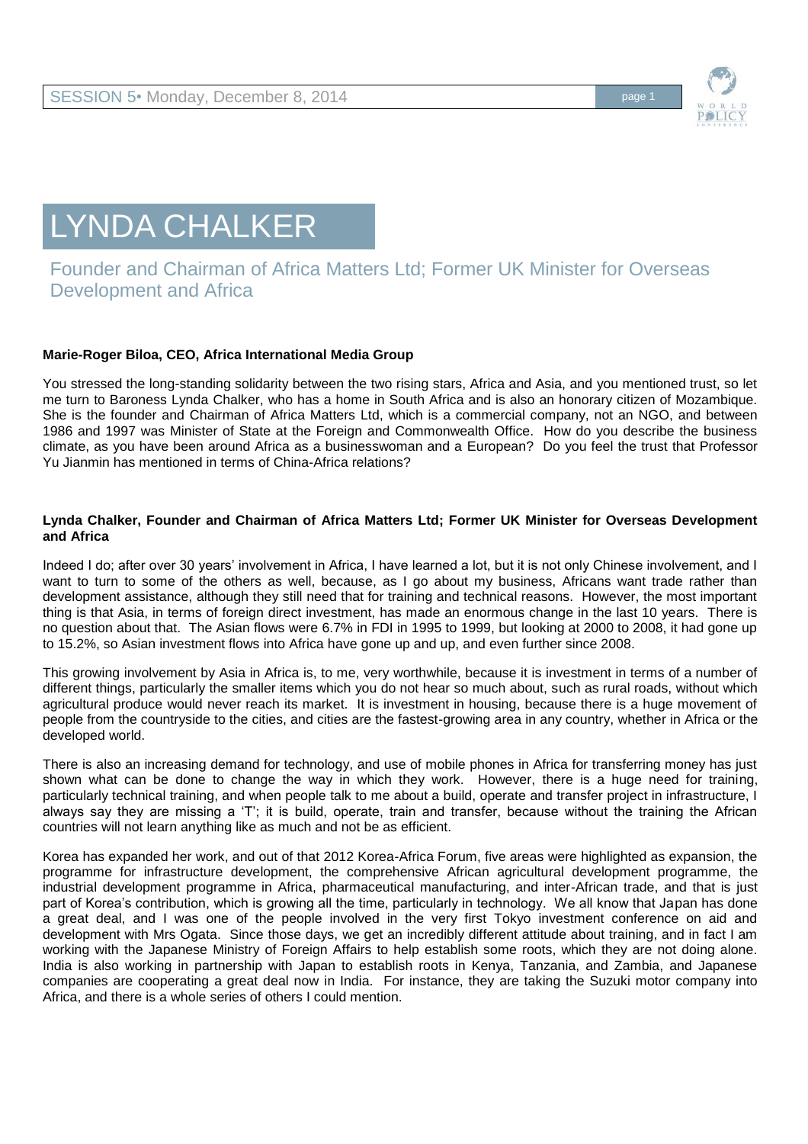

## LYNDA CHALKER

## Founder and Chairman of Africa Matters Ltd; Former UK Minister for Overseas Development and Africa

## **Marie-Roger Biloa, CEO, Africa International Media Group**

You stressed the long-standing solidarity between the two rising stars, Africa and Asia, and you mentioned trust, so let me turn to Baroness Lynda Chalker, who has a home in South Africa and is also an honorary citizen of Mozambique. She is the founder and Chairman of Africa Matters Ltd, which is a commercial company, not an NGO, and between 1986 and 1997 was Minister of State at the Foreign and Commonwealth Office. How do you describe the business climate, as you have been around Africa as a businesswoman and a European? Do you feel the trust that Professor Yu Jianmin has mentioned in terms of China-Africa relations?

## **Lynda Chalker, Founder and Chairman of Africa Matters Ltd; Former UK Minister for Overseas Development and Africa**

Indeed I do; after over 30 years' involvement in Africa, I have learned a lot, but it is not only Chinese involvement, and I want to turn to some of the others as well, because, as I go about my business, Africans want trade rather than development assistance, although they still need that for training and technical reasons. However, the most important thing is that Asia, in terms of foreign direct investment, has made an enormous change in the last 10 years. There is no question about that. The Asian flows were 6.7% in FDI in 1995 to 1999, but looking at 2000 to 2008, it had gone up to 15.2%, so Asian investment flows into Africa have gone up and up, and even further since 2008.

This growing involvement by Asia in Africa is, to me, very worthwhile, because it is investment in terms of a number of different things, particularly the smaller items which you do not hear so much about, such as rural roads, without which agricultural produce would never reach its market. It is investment in housing, because there is a huge movement of people from the countryside to the cities, and cities are the fastest-growing area in any country, whether in Africa or the developed world.

There is also an increasing demand for technology, and use of mobile phones in Africa for transferring money has just shown what can be done to change the way in which they work. However, there is a huge need for training, particularly technical training, and when people talk to me about a build, operate and transfer project in infrastructure, I always say they are missing a 'T'; it is build, operate, train and transfer, because without the training the African countries will not learn anything like as much and not be as efficient.

Korea has expanded her work, and out of that 2012 Korea-Africa Forum, five areas were highlighted as expansion, the programme for infrastructure development, the comprehensive African agricultural development programme, the industrial development programme in Africa, pharmaceutical manufacturing, and inter-African trade, and that is just part of Korea's contribution, which is growing all the time, particularly in technology. We all know that Japan has done a great deal, and I was one of the people involved in the very first Tokyo investment conference on aid and development with Mrs Ogata. Since those days, we get an incredibly different attitude about training, and in fact I am working with the Japanese Ministry of Foreign Affairs to help establish some roots, which they are not doing alone. India is also working in partnership with Japan to establish roots in Kenya, Tanzania, and Zambia, and Japanese companies are cooperating a great deal now in India. For instance, they are taking the Suzuki motor company into Africa, and there is a whole series of others I could mention.